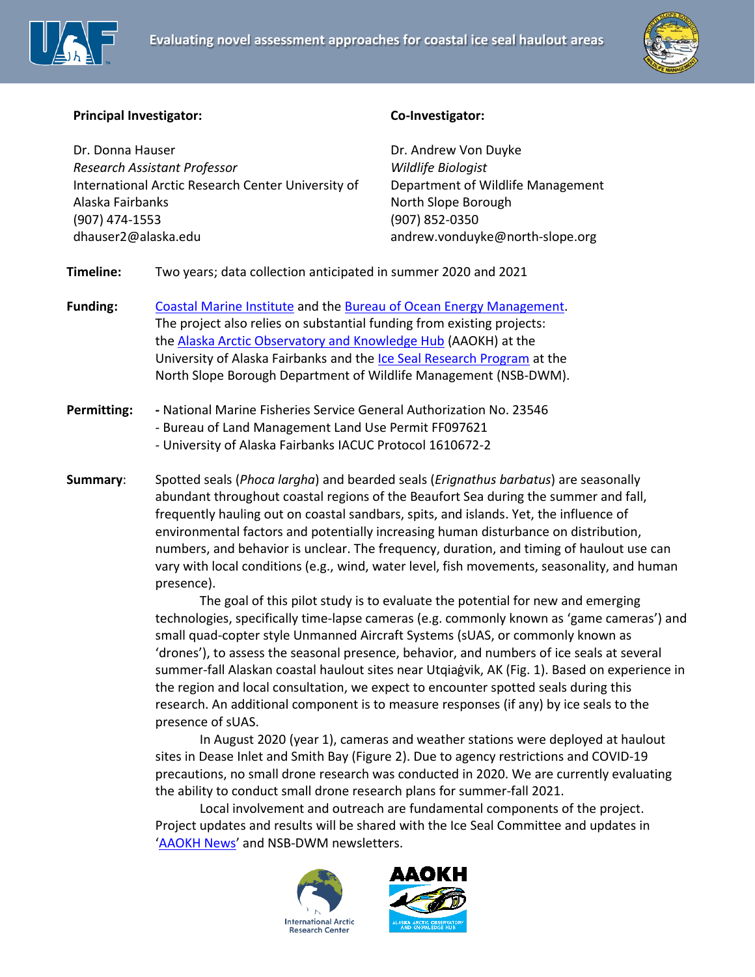



## **Principal Investigator:**

Dr. Donna Hauser *Research Assistant Professor*  International Arctic Research Center University of Alaska Fairbanks (907) 474-1553 dhauser2@alaska.edu

## **Co-Investigator:**

Dr. Andrew Von Duyke *Wildlife Biologist* Department of Wildlife Management North Slope Borough (907) 852-0350 andrew.vonduyke@north-slope.org

**Timeline:** Two years; data collection anticipated in summer 2020 and 2021

**Funding:** [Coastal Marine Institute](https://www.uaf.edu/cfos/research/cmi/index.php) and the [Bureau of Ocean Energy Management.](https://www.boem.gov/environmental-studies) The project also relies on substantial funding from existing projects: the [Alaska Arctic Observatory and Knowledge Hub](https://arctic-aok.org/) (AAOKH) at the University of Alaska Fairbanks and the [Ice Seal Research Program](http://www.north-slope.org/departments/wildlife-management/studies-and-research-projects/ice-seals) at the North Slope Borough Department of Wildlife Management (NSB-DWM).

## **Permitting: -** National Marine Fisheries Service General Authorization No. 23546 - Bureau of Land Management Land Use Permit FF097621 - University of Alaska Fairbanks IACUC Protocol 1610672-2

**Summary**: Spotted seals (*Phoca largha*) and bearded seals (*Erignathus barbatus*) are seasonally abundant throughout coastal regions of the Beaufort Sea during the summer and fall, frequently hauling out on coastal sandbars, spits, and islands. Yet, the influence of environmental factors and potentially increasing human disturbance on distribution, numbers, and behavior is unclear. The frequency, duration, and timing of haulout use can vary with local conditions (e.g., wind, water level, fish movements, seasonality, and human presence).

> The goal of this pilot study is to evaluate the potential for new and emerging technologies, specifically time-lapse cameras (e.g. commonly known as 'game cameras') and small quad-copter style Unmanned Aircraft Systems (sUAS, or commonly known as 'drones'), to assess the seasonal presence, behavior, and numbers of ice seals at several summer-fall Alaskan coastal haulout sites near Utqiaġvik, AK (Fig. 1). Based on experience in the region and local consultation, we expect to encounter spotted seals during this research. An additional component is to measure responses (if any) by ice seals to the presence of sUAS.

In August 2020 (year 1), cameras and weather stations were deployed at haulout sites in Dease Inlet and Smith Bay (Figure 2). Due to agency restrictions and COVID-19 precautions, no small drone research was conducted in 2020. We are currently evaluating the ability to conduct small drone research plans for summer-fall 2021.

Local involvement and outreach are fundamental components of the project. Project updates and results will be shared with the Ice Seal Committee and updates in '[AAOKH News](https://arctic-aok.org/category/newsletter/)' and NSB-DWM newsletters.



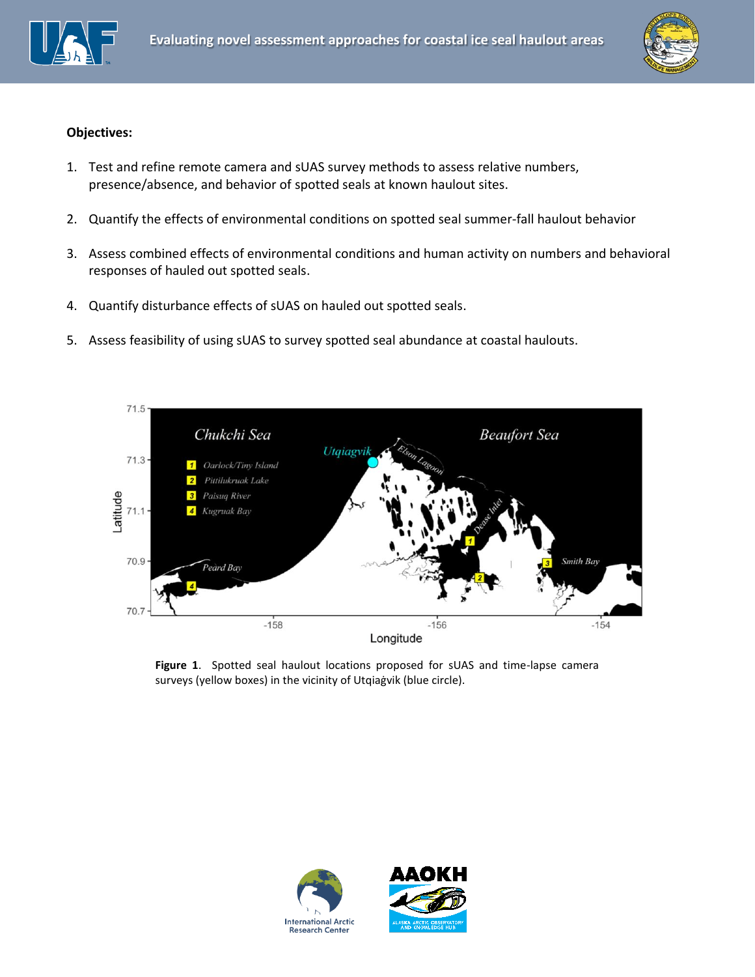



## **Objectives:**

- 1. Test and refine remote camera and sUAS survey methods to assess relative numbers, presence/absence, and behavior of spotted seals at known haulout sites.
- 2. Quantify the effects of environmental conditions on spotted seal summer-fall haulout behavior
- 3. Assess combined effects of environmental conditions and human activity on numbers and behavioral responses of hauled out spotted seals.
- 4. Quantify disturbance effects of sUAS on hauled out spotted seals.
- 5. Assess feasibility of using sUAS to survey spotted seal abundance at coastal haulouts.



**Figure 1**. Spotted seal haulout locations proposed for sUAS and time-lapse camera surveys (yellow boxes) in the vicinity of Utqiaġvik (blue circle).